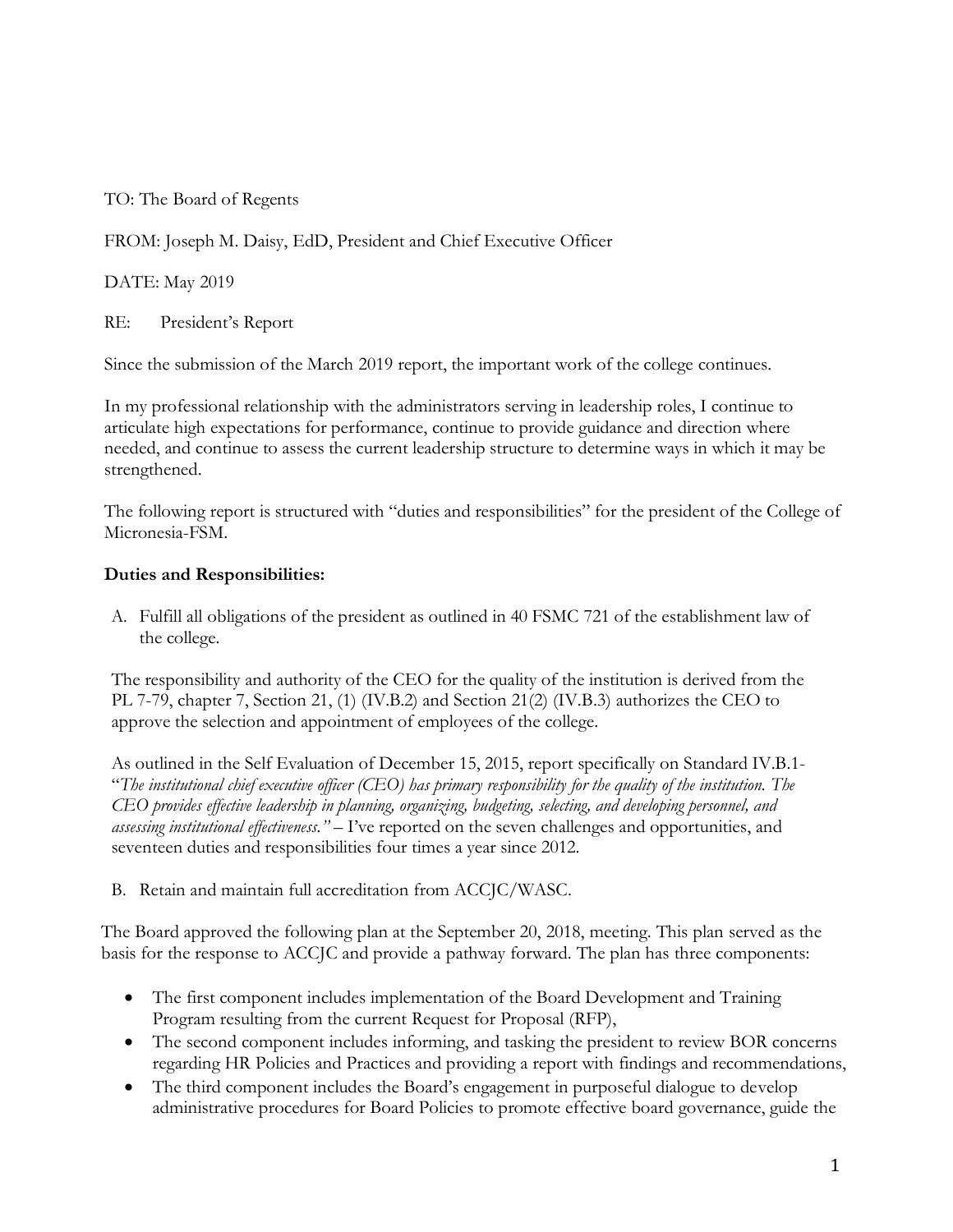TO: The Board of Regents

FROM: Joseph M. Daisy, EdD, President and Chief Executive Officer

DATE: May 2019

RE: President's Report

Since the submission of the March 2019 report, the important work of the college continues.

In my professional relationship with the administrators serving in leadership roles, I continue to articulate high expectations for performance, continue to provide guidance and direction where needed, and continue to assess the current leadership structure to determine ways in which it may be strengthened.

The following report is structured with "duties and responsibilities" for the president of the College of Micronesia-FSM.

## **Duties and Responsibilities:**

A. Fulfill all obligations of the president as outlined in 40 FSMC 721 of the establishment law of the college.

The responsibility and authority of the CEO for the quality of the institution is derived from the PL 7-79, chapter 7, Section 21, (1) (IV.B.2) and Section 21(2) (IV.B.3) authorizes the CEO to approve the selection and appointment of employees of the college.

As outlined in the Self Evaluation of December 15, 2015, report specifically on Standard IV.B.1- "The institutional chief executive officer (CEO) has primary responsibility for the quality of the institution. The *CEO provides effective leadership in planning, organizing, budgeting, selecting, and developing personnel, and assessing institutional effectiveness." –* I've reported on the seven challenges and opportunities, and seventeen duties and responsibilities four times a year since 2012.

B. Retain and maintain full accreditation from ACCJC/WASC.

The Board approved the following plan at the September 20, 2018, meeting. This plan served as the basis for the response to ACCJC and provide a pathway forward. The plan has three components:

- The first component includes implementation of the Board Development and Training Program resulting from the current Request for Proposal (RFP),
- The second component includes informing, and tasking the president to review BOR concerns regarding HR Policies and Practices and providing a report with findings and recommendations,
- The third component includes the Board's engagement in purposeful dialogue to develop administrative procedures for Board Policies to promote effective board governance, guide the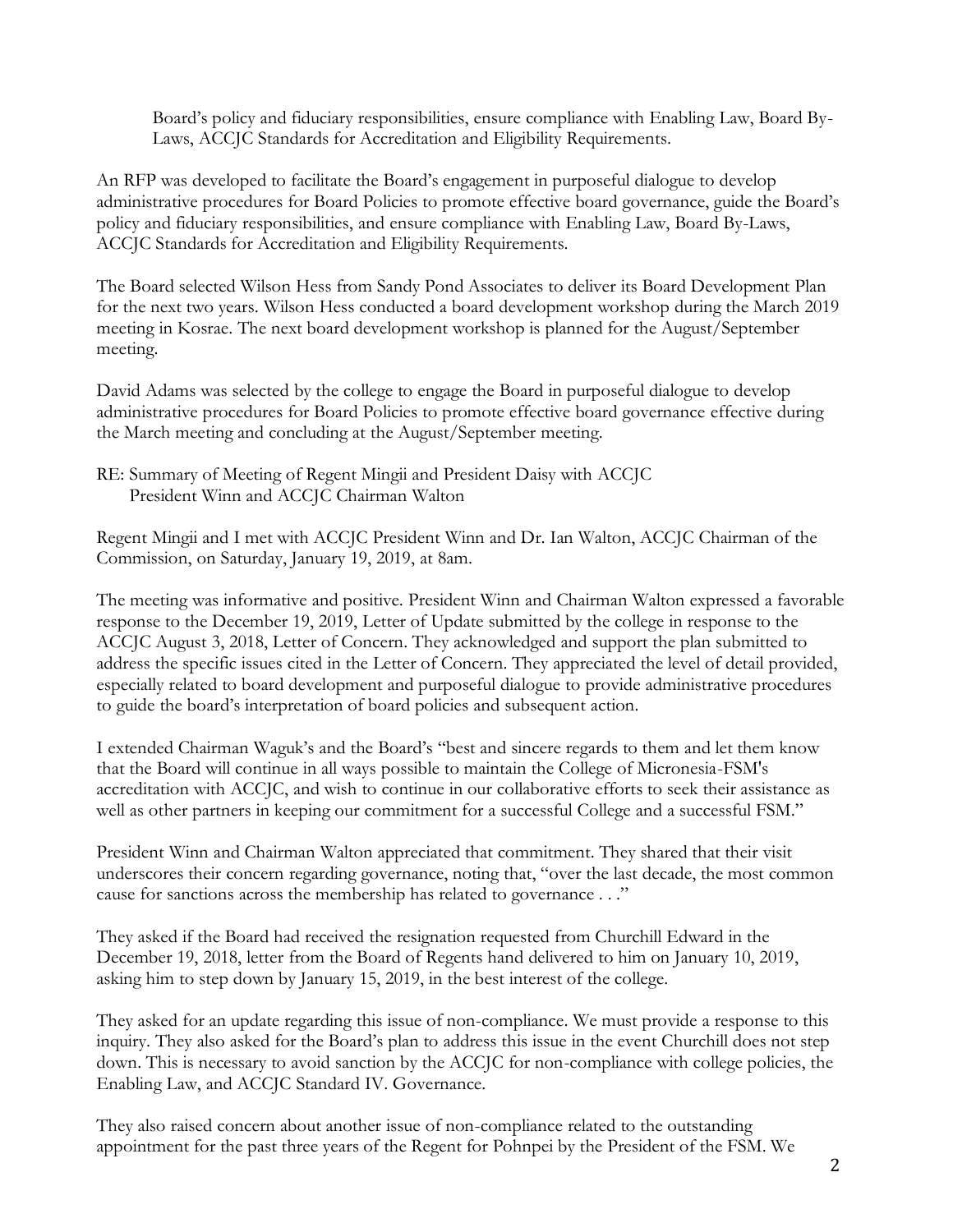Board's policy and fiduciary responsibilities, ensure compliance with Enabling Law, Board By-Laws, ACCJC Standards for Accreditation and Eligibility Requirements.

An RFP was developed to facilitate the Board's engagement in purposeful dialogue to develop administrative procedures for Board Policies to promote effective board governance, guide the Board's policy and fiduciary responsibilities, and ensure compliance with Enabling Law, Board By-Laws, ACCJC Standards for Accreditation and Eligibility Requirements.

The Board selected Wilson Hess from Sandy Pond Associates to deliver its Board Development Plan for the next two years. Wilson Hess conducted a board development workshop during the March 2019 meeting in Kosrae. The next board development workshop is planned for the August/September meeting.

David Adams was selected by the college to engage the Board in purposeful dialogue to develop administrative procedures for Board Policies to promote effective board governance effective during the March meeting and concluding at the August/September meeting.

Regent Mingii and I met with ACCJC President Winn and Dr. Ian Walton, ACCJC Chairman of the Commission, on Saturday, January 19, 2019, at 8am.

The meeting was informative and positive. President Winn and Chairman Walton expressed a favorable response to the December 19, 2019, Letter of Update submitted by the college in response to the ACCJC August 3, 2018, Letter of Concern. They acknowledged and support the plan submitted to address the specific issues cited in the Letter of Concern. They appreciated the level of detail provided, especially related to board development and purposeful dialogue to provide administrative procedures to guide the board's interpretation of board policies and subsequent action.

I extended Chairman Waguk's and the Board's "best and sincere regards to them and let them know that the Board will continue in all ways possible to maintain the College of Micronesia-FSM's accreditation with ACCJC, and wish to continue in our collaborative efforts to seek their assistance as well as other partners in keeping our commitment for a successful College and a successful FSM."

President Winn and Chairman Walton appreciated that commitment. They shared that their visit underscores their concern regarding governance, noting that, "over the last decade, the most common cause for sanctions across the membership has related to governance . . ."

They asked if the Board had received the resignation requested from Churchill Edward in the December 19, 2018, letter from the Board of Regents hand delivered to him on January 10, 2019, asking him to step down by January 15, 2019, in the best interest of the college.

They asked for an update regarding this issue of non-compliance. We must provide a response to this inquiry. They also asked for the Board's plan to address this issue in the event Churchill does not step down. This is necessary to avoid sanction by the ACCJC for non-compliance with college policies, the Enabling Law, and ACCJC Standard IV. Governance.

They also raised concern about another issue of non-compliance related to the outstanding appointment for the past three years of the Regent for Pohnpei by the President of the FSM. We

RE: Summary of Meeting of Regent Mingii and President Daisy with ACCJC President Winn and ACCJC Chairman Walton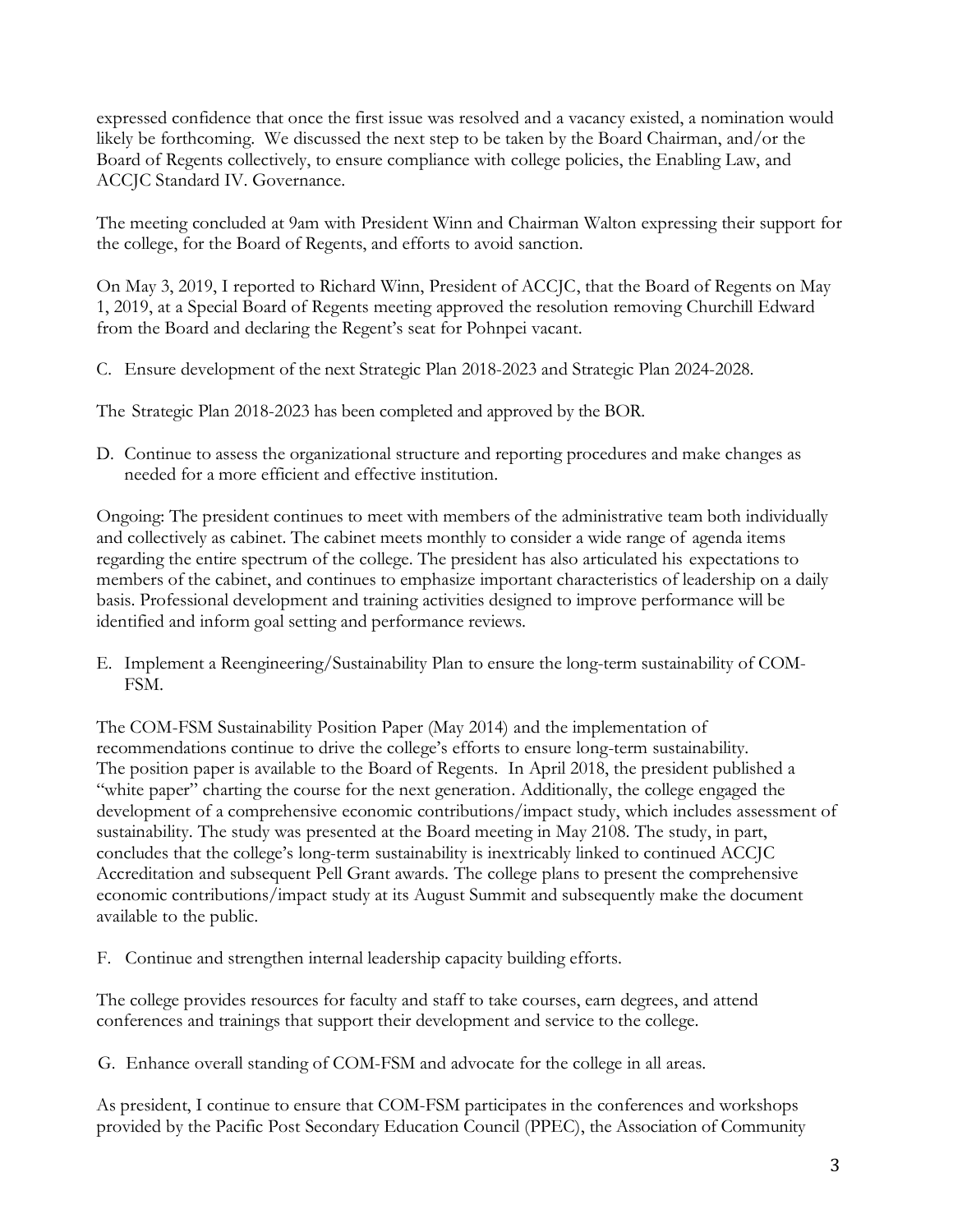expressed confidence that once the first issue was resolved and a vacancy existed, a nomination would likely be forthcoming. We discussed the next step to be taken by the Board Chairman, and/or the Board of Regents collectively, to ensure compliance with college policies, the Enabling Law, and ACCJC Standard IV. Governance.

The meeting concluded at 9am with President Winn and Chairman Walton expressing their support for the college, for the Board of Regents, and efforts to avoid sanction.

On May 3, 2019, I reported to Richard Winn, President of ACCJC, that the Board of Regents on May 1, 2019, at a Special Board of Regents meeting approved the resolution removing Churchill Edward from the Board and declaring the Regent's seat for Pohnpei vacant.

C. Ensure development of the next Strategic Plan 2018-2023 and Strategic Plan 2024-2028.

The Strategic Plan 2018-2023 has been completed and approved by the BOR.

D. Continue to assess the organizational structure and reporting procedures and make changes as needed for a more efficient and effective institution.

Ongoing: The president continues to meet with members of the administrative team both individually and collectively as cabinet. The cabinet meets monthly to consider a wide range of agenda items regarding the entire spectrum of the college. The president has also articulated his expectations to members of the cabinet, and continues to emphasize important characteristics of leadership on a daily basis. Professional development and training activities designed to improve performance will be identified and inform goal setting and performance reviews.

E. Implement a Reengineering/Sustainability Plan to ensure the long-term sustainability of COM-FSM.

The COM-FSM Sustainability Position Paper (May 2014) and the implementation of recommendations continue to drive the college's efforts to ensure long-term sustainability. The position paper is available to the Board of Regents. In April 2018, the president published a "white paper" charting the course for the next generation. Additionally, the college engaged the development of a comprehensive economic contributions/impact study, which includes assessment of sustainability. The study was presented at the Board meeting in May 2108. The study, in part, concludes that the college's long-term sustainability is inextricably linked to continued ACCJC Accreditation and subsequent Pell Grant awards. The college plans to present the comprehensive economic contributions/impact study at its August Summit and subsequently make the document available to the public.

F. Continue and strengthen internal leadership capacity building efforts.

The college provides resources for faculty and staff to take courses, earn degrees, and attend conferences and trainings that support their development and service to the college.

G. Enhance overall standing of COM-FSM and advocate for the college in all areas.

As president, I continue to ensure that COM-FSM participates in the conferences and workshops provided by the Pacific Post Secondary Education Council (PPEC), the Association of Community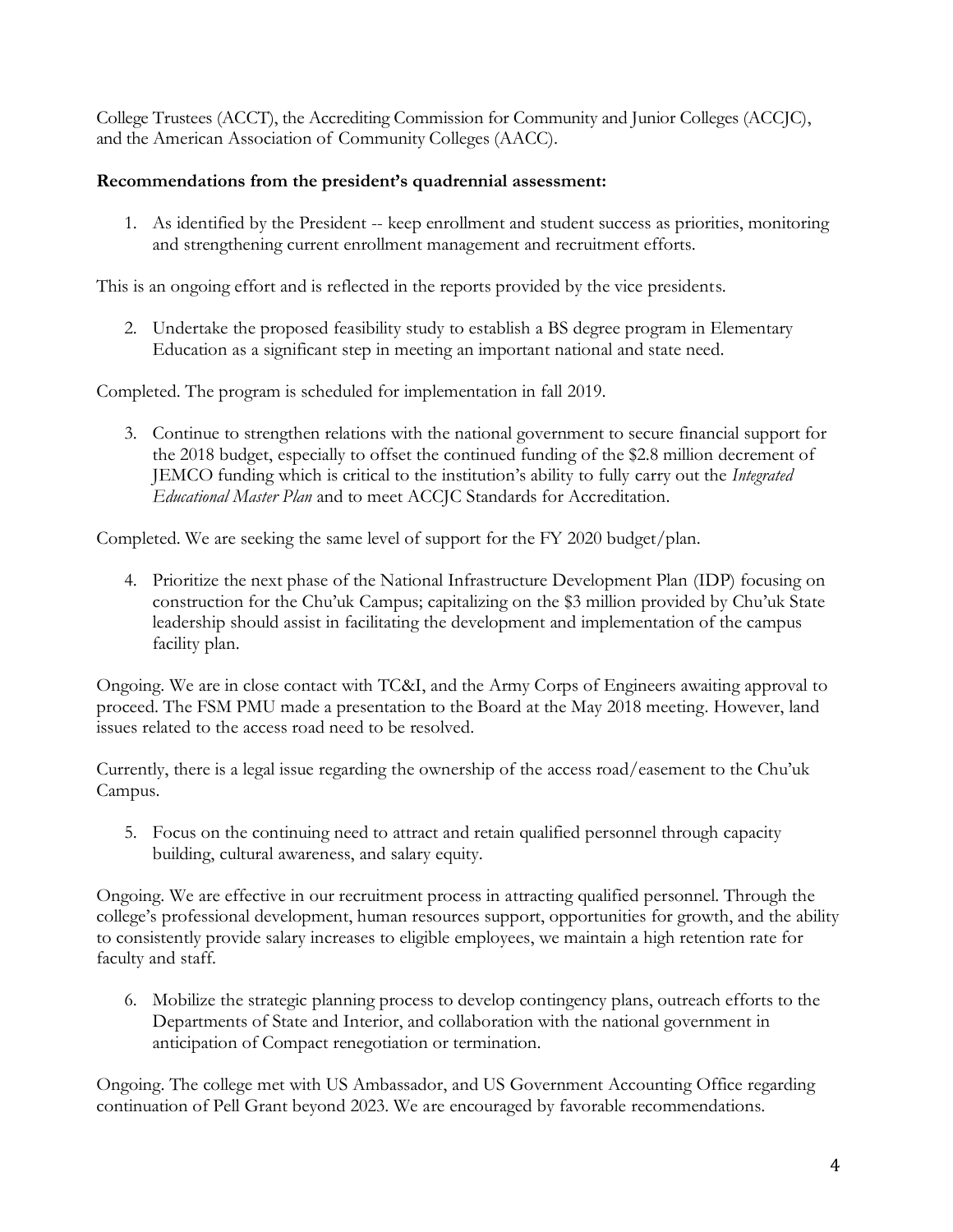College Trustees (ACCT), the Accrediting Commission for Community and Junior Colleges (ACCJC), and the American Association of Community Colleges (AACC).

## **Recommendations from the president's quadrennial assessment:**

1. As identified by the President -- keep enrollment and student success as priorities, monitoring and strengthening current enrollment management and recruitment efforts.

This is an ongoing effort and is reflected in the reports provided by the vice presidents.

2. Undertake the proposed feasibility study to establish a BS degree program in Elementary Education as a significant step in meeting an important national and state need.

Completed. The program is scheduled for implementation in fall 2019.

3. Continue to strengthen relations with the national government to secure financial support for the 2018 budget, especially to offset the continued funding of the \$2.8 million decrement of JEMCO funding which is critical to the institution's ability to fully carry out the *Integrated Educational Master Plan* and to meet ACCJC Standards for Accreditation.

Completed. We are seeking the same level of support for the FY 2020 budget/plan.

4. Prioritize the next phase of the National Infrastructure Development Plan (IDP) focusing on construction for the Chu'uk Campus; capitalizing on the \$3 million provided by Chu'uk State leadership should assist in facilitating the development and implementation of the campus facility plan.

Ongoing. We are in close contact with TC&I, and the Army Corps of Engineers awaiting approval to proceed. The FSM PMU made a presentation to the Board at the May 2018 meeting. However, land issues related to the access road need to be resolved.

Currently, there is a legal issue regarding the ownership of the access road/easement to the Chu'uk Campus.

5. Focus on the continuing need to attract and retain qualified personnel through capacity building, cultural awareness, and salary equity.

Ongoing. We are effective in our recruitment process in attracting qualified personnel. Through the college's professional development, human resources support, opportunities for growth, and the ability to consistently provide salary increases to eligible employees, we maintain a high retention rate for faculty and staff.

6. Mobilize the strategic planning process to develop contingency plans, outreach efforts to the Departments of State and Interior, and collaboration with the national government in anticipation of Compact renegotiation or termination.

Ongoing. The college met with US Ambassador, and US Government Accounting Office regarding continuation of Pell Grant beyond 2023. We are encouraged by favorable recommendations.